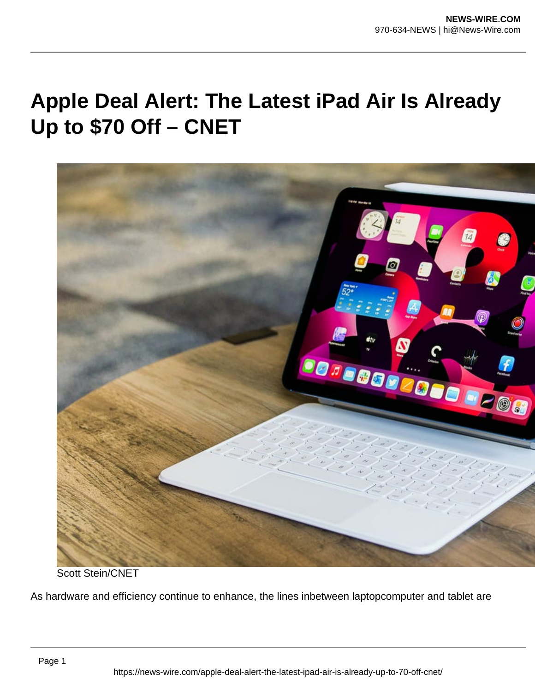## **Apple Deal Alert: The Latest iPad Air Is Already Up to \$70 Off – CNET**



Scott Stein/CNET

As hardware and efficiency continue to enhance, the lines inbetween laptopcomputer and tablet are